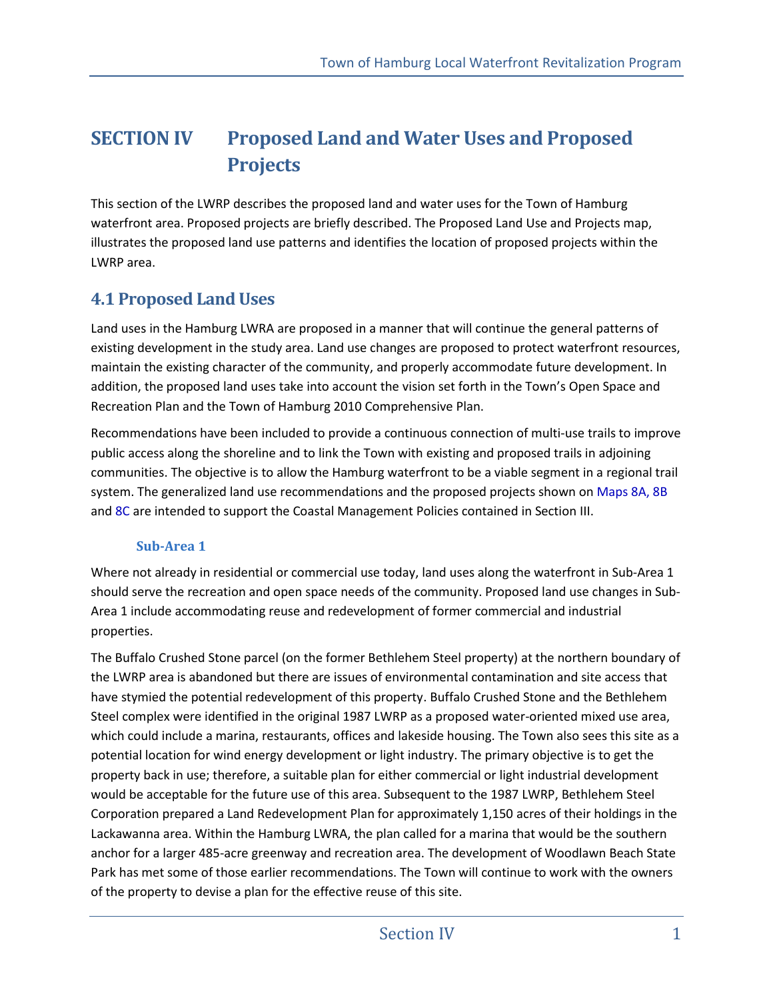# **SECTION IV Proposed Land and Water Uses and Proposed Projects**

This section of the LWRP describes the proposed land and water uses for the Town of Hamburg waterfront area. Proposed projects are briefly described. The Proposed Land Use and Projects map, illustrates the proposed land use patterns and identifies the location of proposed projects within the LWRP area.

### **4.1 Proposed Land Uses**

Land uses in the Hamburg LWRA are proposed in a manner that will continue the general patterns of existing development in the study area. Land use changes are proposed to protect waterfront resources, maintain the existing character of the community, and properly accommodate future development. In addition, the proposed land uses take into account the vision set forth in the Town's Open Space and Recreation Plan and the Town of Hamburg 2010 Comprehensive Plan.

Recommendations have been included to provide a continuous connection of multi-use trails to improve public access along the shoreline and to link the Town with existing and proposed trails in adjoining communities. The objective is to allow the Hamburg waterfront to be a viable segment in a regional trail system. The generalized land use recommendations and the proposed projects shown on Maps 8A, 8B and 8C are intended to support the Coastal Management Policies contained in Section III.

#### **Sub-Area 1**

Where not already in residential or commercial use today, land uses along the waterfront in Sub-Area 1 should serve the recreation and open space needs of the community. Proposed land use changes in Sub-Area 1 include accommodating reuse and redevelopment of former commercial and industrial properties.

The Buffalo Crushed Stone parcel (on the former Bethlehem Steel property) at the northern boundary of the LWRP area is abandoned but there are issues of environmental contamination and site access that have stymied the potential redevelopment of this property. Buffalo Crushed Stone and the Bethlehem Steel complex were identified in the original 1987 LWRP as a proposed water-oriented mixed use area, which could include a marina, restaurants, offices and lakeside housing. The Town also sees this site as a potential location for wind energy development or light industry. The primary objective is to get the property back in use; therefore, a suitable plan for either commercial or light industrial development would be acceptable for the future use of this area. Subsequent to the 1987 LWRP, Bethlehem Steel Corporation prepared a Land Redevelopment Plan for approximately 1,150 acres of their holdings in the Lackawanna area. Within the Hamburg LWRA, the plan called for a marina that would be the southern anchor for a larger 485-acre greenway and recreation area. The development of Woodlawn Beach State Park has met some of those earlier recommendations. The Town will continue to work with the owners of the property to devise a plan for the effective reuse of this site.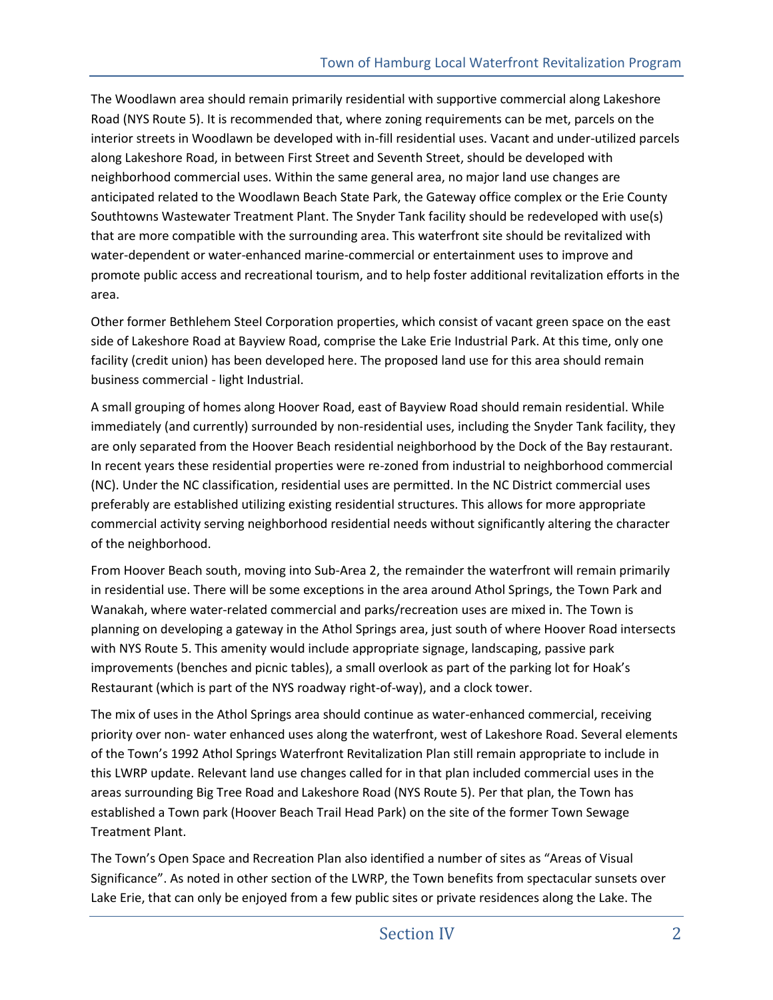The Woodlawn area should remain primarily residential with supportive commercial along Lakeshore Road (NYS Route 5). It is recommended that, where zoning requirements can be met, parcels on the interior streets in Woodlawn be developed with in-fill residential uses. Vacant and under-utilized parcels along Lakeshore Road, in between First Street and Seventh Street, should be developed with neighborhood commercial uses. Within the same general area, no major land use changes are anticipated related to the Woodlawn Beach State Park, the Gateway office complex or the Erie County Southtowns Wastewater Treatment Plant. The Snyder Tank facility should be redeveloped with use(s) that are more compatible with the surrounding area. This waterfront site should be revitalized with water-dependent or water-enhanced marine-commercial or entertainment uses to improve and promote public access and recreational tourism, and to help foster additional revitalization efforts in the area.

Other former Bethlehem Steel Corporation properties, which consist of vacant green space on the east side of Lakeshore Road at Bayview Road, comprise the Lake Erie Industrial Park. At this time, only one facility (credit union) has been developed here. The proposed land use for this area should remain business commercial - light Industrial.

A small grouping of homes along Hoover Road, east of Bayview Road should remain residential. While immediately (and currently) surrounded by non-residential uses, including the Snyder Tank facility, they are only separated from the Hoover Beach residential neighborhood by the Dock of the Bay restaurant. In recent years these residential properties were re-zoned from industrial to neighborhood commercial (NC). Under the NC classification, residential uses are permitted. In the NC District commercial uses preferably are established utilizing existing residential structures. This allows for more appropriate commercial activity serving neighborhood residential needs without significantly altering the character of the neighborhood.

From Hoover Beach south, moving into Sub-Area 2, the remainder the waterfront will remain primarily in residential use. There will be some exceptions in the area around Athol Springs, the Town Park and Wanakah, where water-related commercial and parks/recreation uses are mixed in. The Town is planning on developing a gateway in the Athol Springs area, just south of where Hoover Road intersects with NYS Route 5. This amenity would include appropriate signage, landscaping, passive park improvements (benches and picnic tables), a small overlook as part of the parking lot for Hoak's Restaurant (which is part of the NYS roadway right-of-way), and a clock tower.

The mix of uses in the Athol Springs area should continue as water-enhanced commercial, receiving priority over non- water enhanced uses along the waterfront, west of Lakeshore Road. Several elements of the Town's 1992 Athol Springs Waterfront Revitalization Plan still remain appropriate to include in this LWRP update. Relevant land use changes called for in that plan included commercial uses in the areas surrounding Big Tree Road and Lakeshore Road (NYS Route 5). Per that plan, the Town has established a Town park (Hoover Beach Trail Head Park) on the site of the former Town Sewage Treatment Plant.

The Town's Open Space and Recreation Plan also identified a number of sites as "Areas of Visual Significance". As noted in other section of the LWRP, the Town benefits from spectacular sunsets over Lake Erie, that can only be enjoyed from a few public sites or private residences along the Lake. The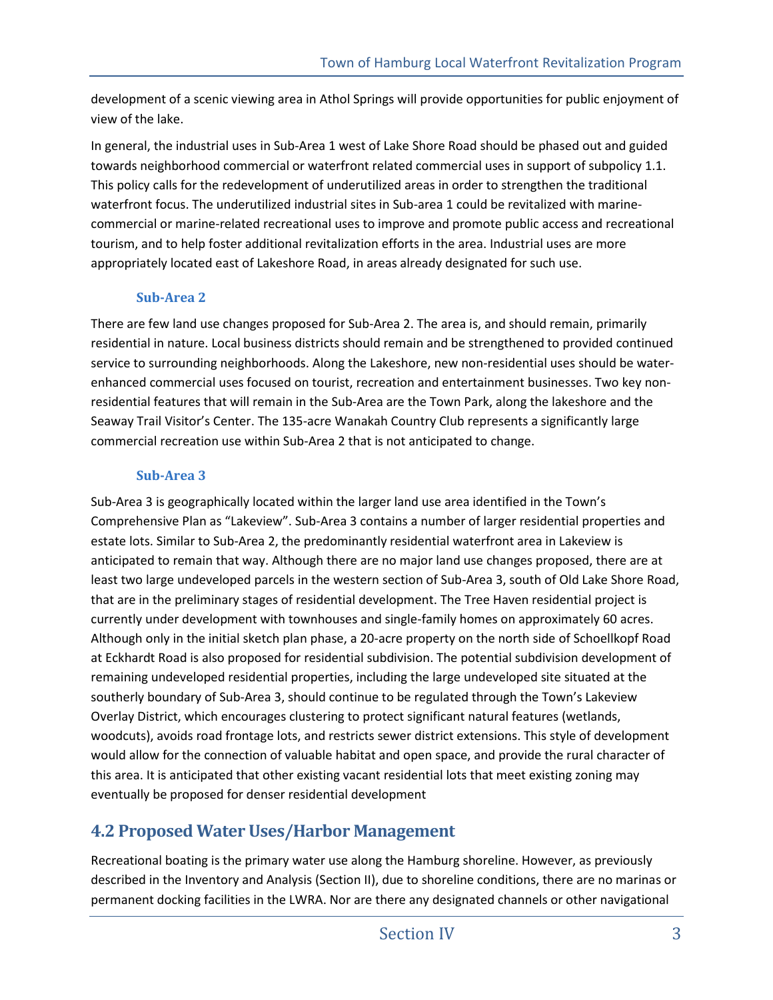development of a scenic viewing area in Athol Springs will provide opportunities for public enjoyment of view of the lake.

In general, the industrial uses in Sub-Area 1 west of Lake Shore Road should be phased out and guided towards neighborhood commercial or waterfront related commercial uses in support of subpolicy 1.1. This policy calls for the redevelopment of underutilized areas in order to strengthen the traditional waterfront focus. The underutilized industrial sites in Sub-area 1 could be revitalized with marinecommercial or marine-related recreational uses to improve and promote public access and recreational tourism, and to help foster additional revitalization efforts in the area. Industrial uses are more appropriately located east of Lakeshore Road, in areas already designated for such use.

#### **Sub-Area 2**

There are few land use changes proposed for Sub-Area 2. The area is, and should remain, primarily residential in nature. Local business districts should remain and be strengthened to provided continued service to surrounding neighborhoods. Along the Lakeshore, new non-residential uses should be waterenhanced commercial uses focused on tourist, recreation and entertainment businesses. Two key nonresidential features that will remain in the Sub-Area are the Town Park, along the lakeshore and the Seaway Trail Visitor's Center. The 135-acre Wanakah Country Club represents a significantly large commercial recreation use within Sub-Area 2 that is not anticipated to change.

#### **Sub-Area 3**

Sub-Area 3 is geographically located within the larger land use area identified in the Town's Comprehensive Plan as "Lakeview". Sub-Area 3 contains a number of larger residential properties and estate lots. Similar to Sub-Area 2, the predominantly residential waterfront area in Lakeview is anticipated to remain that way. Although there are no major land use changes proposed, there are at least two large undeveloped parcels in the western section of Sub-Area 3, south of Old Lake Shore Road, that are in the preliminary stages of residential development. The Tree Haven residential project is currently under development with townhouses and single-family homes on approximately 60 acres. Although only in the initial sketch plan phase, a 20-acre property on the north side of Schoellkopf Road at Eckhardt Road is also proposed for residential subdivision. The potential subdivision development of remaining undeveloped residential properties, including the large undeveloped site situated at the southerly boundary of Sub-Area 3, should continue to be regulated through the Town's Lakeview Overlay District, which encourages clustering to protect significant natural features (wetlands, woodcuts), avoids road frontage lots, and restricts sewer district extensions. This style of development would allow for the connection of valuable habitat and open space, and provide the rural character of this area. It is anticipated that other existing vacant residential lots that meet existing zoning may eventually be proposed for denser residential development

## **4.2 Proposed Water Uses/Harbor Management**

Recreational boating is the primary water use along the Hamburg shoreline. However, as previously described in the Inventory and Analysis (Section II), due to shoreline conditions, there are no marinas or permanent docking facilities in the LWRA. Nor are there any designated channels or other navigational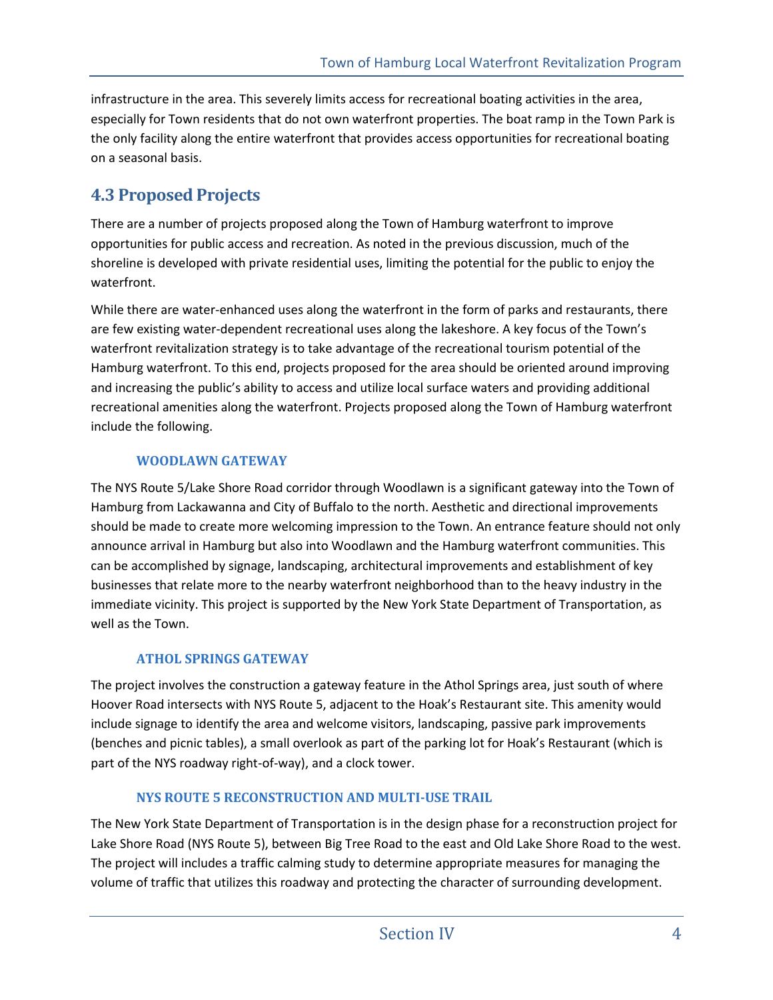infrastructure in the area. This severely limits access for recreational boating activities in the area, especially for Town residents that do not own waterfront properties. The boat ramp in the Town Park is the only facility along the entire waterfront that provides access opportunities for recreational boating on a seasonal basis.

## **4.3 Proposed Projects**

There are a number of projects proposed along the Town of Hamburg waterfront to improve opportunities for public access and recreation. As noted in the previous discussion, much of the shoreline is developed with private residential uses, limiting the potential for the public to enjoy the waterfront.

While there are water-enhanced uses along the waterfront in the form of parks and restaurants, there are few existing water-dependent recreational uses along the lakeshore. A key focus of the Town's waterfront revitalization strategy is to take advantage of the recreational tourism potential of the Hamburg waterfront. To this end, projects proposed for the area should be oriented around improving and increasing the public's ability to access and utilize local surface waters and providing additional recreational amenities along the waterfront. Projects proposed along the Town of Hamburg waterfront include the following.

#### **WOODLAWN GATEWAY**

The NYS Route 5/Lake Shore Road corridor through Woodlawn is a significant gateway into the Town of Hamburg from Lackawanna and City of Buffalo to the north. Aesthetic and directional improvements should be made to create more welcoming impression to the Town. An entrance feature should not only announce arrival in Hamburg but also into Woodlawn and the Hamburg waterfront communities. This can be accomplished by signage, landscaping, architectural improvements and establishment of key businesses that relate more to the nearby waterfront neighborhood than to the heavy industry in the immediate vicinity. This project is supported by the New York State Department of Transportation, as well as the Town.

#### **ATHOL SPRINGS GATEWAY**

The project involves the construction a gateway feature in the Athol Springs area, just south of where Hoover Road intersects with NYS Route 5, adjacent to the Hoak's Restaurant site. This amenity would include signage to identify the area and welcome visitors, landscaping, passive park improvements (benches and picnic tables), a small overlook as part of the parking lot for Hoak's Restaurant (which is part of the NYS roadway right-of-way), and a clock tower.

#### **NYS ROUTE 5 RECONSTRUCTION AND MULTI-USE TRAIL**

The New York State Department of Transportation is in the design phase for a reconstruction project for Lake Shore Road (NYS Route 5), between Big Tree Road to the east and Old Lake Shore Road to the west. The project will includes a traffic calming study to determine appropriate measures for managing the volume of traffic that utilizes this roadway and protecting the character of surrounding development.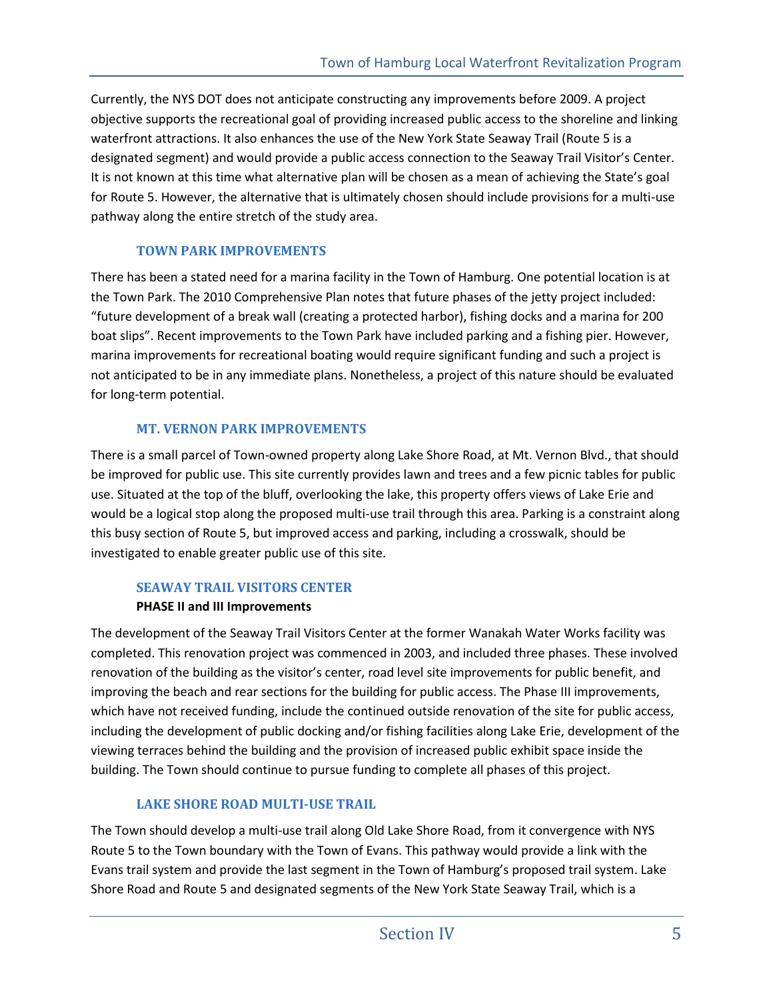Currently, the NYS DOT does not anticipate constructing any improvements before 2009. A project objective supports the recreational goal of providing increased public access to the shoreline and linking waterfront attractions. It also enhances the use of the New York State Seaway Trail (Route 5 is a designated segment) and would provide a public access connection to the Seaway Trail Visitor's Center. It is not known at this time what alternative plan will be chosen as a mean of achieving the State's goal for Route 5. However, the alternative that is ultimately chosen should include provisions for a multi-use pathway along the entire stretch of the study area.

#### **TOWN PARK IMPROVEMENTS**

There has been a stated need for a marina facility in the Town of Hamburg. One potential location is at the Town Park. The 2010 Comprehensive Plan notes that future phases of the jetty project included: "future development of a break wall (creating a protected harbor), fishing docks and a marina for 200 boat slips". Recent improvements to the Town Park have included parking and a fishing pier. However, marina improvements for recreational boating would require significant funding and such a project is not anticipated to be in any immediate plans. Nonetheless, a project of this nature should be evaluated for long-term potential.

#### **MT. VERNON PARK IMPROVEMENTS**

There is a small parcel of Town-owned property along Lake Shore Road, at Mt. Vernon Blvd., that should be improved for public use. This site currently provides lawn and trees and a few picnic tables for public use. Situated at the top of the bluff, overlooking the lake, this property offers views of Lake Erie and would be a logical stop along the proposed multi-use trail through this area. Parking is a constraint along this busy section of Route 5, but improved access and parking, including a crosswalk, should be investigated to enable greater public use of this site.

#### **SEAWAY TRAIL VISITORS CENTER**

#### **PHASE II and III Improvements**

The development of the Seaway Trail Visitors Center at the former Wanakah Water Works facility was completed. This renovation project was commenced in 2003, and included three phases. These involved renovation of the building as the visitor's center, road level site improvements for public benefit, and improving the beach and rear sections for the building for public access. The Phase III improvements, which have not received funding, include the continued outside renovation of the site for public access, including the development of public docking and/or fishing facilities along Lake Erie, development of the viewing terraces behind the building and the provision of increased public exhibit space inside the building. The Town should continue to pursue funding to complete all phases of this project.

#### **LAKE SHORE ROAD MULTI-USE TRAIL**

The Town should develop a multi-use trail along Old Lake Shore Road, from it convergence with NYS Route 5 to the Town boundary with the Town of Evans. This pathway would provide a link with the Evans trail system and provide the last segment in the Town of Hamburg's proposed trail system. Lake Shore Road and Route 5 and designated segments of the New York State Seaway Trail, which is a